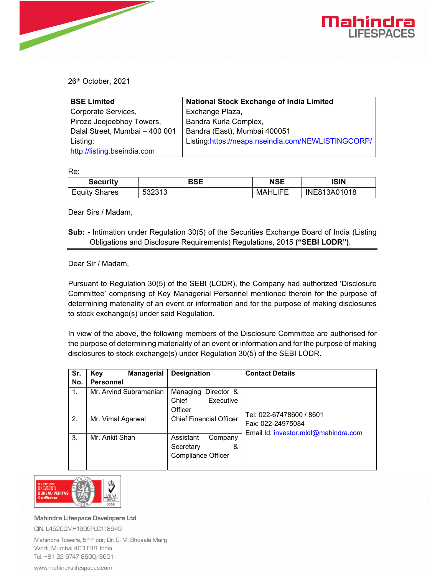



26th October, 2021

| <b>BSE Limited</b>             | <b>National Stock Exchange of India Limited</b>    |
|--------------------------------|----------------------------------------------------|
| Corporate Services,            | Exchange Plaza,                                    |
| Piroze Jeejeebhoy Towers,      | Bandra Kurla Complex,                              |
| Dalal Street, Mumbai - 400 001 | Bandra (East), Mumbai 400051                       |
| Listing:                       | Listing:https://neaps.nseindia.com/NEWLISTINGCORP/ |
| http://listing.bseindia.com    |                                                    |

Re:

| <b>Security</b>      | BSE    | <b>NSE</b>     | ISIN         |
|----------------------|--------|----------------|--------------|
| <b>Equity Shares</b> | 532313 | <b>MAHLIFE</b> | INE813A01018 |

Dear Sirs / Madam,

**Sub: -** Intimation under Regulation 30(5) of the Securities Exchange Board of India (Listing Obligations and Disclosure Requirements) Regulations, 2015 **("SEBI LODR")**.

Dear Sir / Madam,

Pursuant to Regulation 30(5) of the SEBI (LODR), the Company had authorized 'Disclosure Committee' comprising of Key Managerial Personnel mentioned therein for the purpose of determining materiality of an event or information and for the purpose of making disclosures to stock exchange(s) under said Regulation.

In view of the above, the following members of the Disclosure Committee are authorised for the purpose of determining materiality of an event or information and for the purpose of making disclosures to stock exchange(s) under Regulation 30(5) of the SEBI LODR.

| Sr. | Key<br><b>Managerial</b> | <b>Designation</b>             | <b>Contact Details</b>               |
|-----|--------------------------|--------------------------------|--------------------------------------|
| No. | <b>Personnel</b>         |                                |                                      |
|     | Mr. Arvind Subramanian   | Managing<br>Director &         |                                      |
|     |                          | Chief<br>Executive             |                                      |
|     |                          | Officer                        | Tel: 022-67478600 / 8601             |
| 2.  | Mr. Vimal Agarwal        | <b>Chief Financial Officer</b> | Fax: 022-24975084                    |
| 3.  | Mr. Ankit Shah           | Assistant<br>Company           | Email Id: investor.mldl@mahindra.com |
|     |                          | Secretary<br>&                 |                                      |
|     |                          | Compliance Officer             |                                      |



Mahindra Lifespace Developers Ltd. CIN: L45200MH1999PLC118949

Mahindra Towers, 5<sup>th</sup> Floor, Dr. G. M. Bhosale Marg Worli, Mumbai 400 018, India Tel: +91 22 6747 8600/8601

www.mahindralifespaces.com